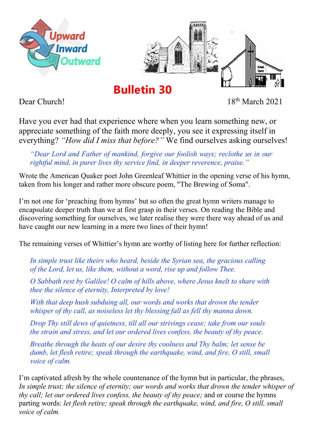



**Bulletin 30**

Dear Church! 18th March 2021

Have you ever had that experience where when you learn something new, or appreciate something of the faith more deeply, you see it expressing itself in everything? *"How did I miss that before?"* We find ourselves asking ourselves!

*"Dear Lord and Father of mankind, forgive our foolish ways; reclothe us in our rightful mind, in purer lives thy service find, in deeper reverence, praise."*

Wrote the American Quaker poet John Greenleaf Whittier in the opening verse of his hymn, taken from his longer and rather more obscure poem, "The Brewing of Soma".

I'm not one for 'preaching from hymns' but so often the great hymn writers manage to encapsulate deeper truth than we at first grasp in their verses. On reading the Bible and discovering something for ourselves, we later realise they were there way ahead of us and have caught our new learning in a mere two lines of their hymn!

The remaining verses of Whittier's hymn are worthy of listing here for further reflection:

*In simple trust like theirs who heard, beside the Syrian sea, the gracious calling of the Lord, let us, like them, without a word, rise up and follow Thee.*

*O Sabbath rest by Galilee! O calm of hills above, where Jesus knelt to share with thee the silence of eternity, Interpreted by love!*

*With that deep hush subduing all, our words and works that drown the tender whisper of thy call, as noiseless let thy blessing fall as fell thy manna down.*

*Drop Thy still dews of quietness, till all our strivings cease; take from our souls the strain and stress, and let our ordered lives confess, the beauty of thy peace.*

*Breathe through the heats of our desire thy coolness and Thy balm; let sense be dumb, let flesh retire; speak through the earthquake, wind, and fire, O still, small voice of calm.*

I'm captivated afresh by the whole countenance of the hymn but in particular, the phrases, *In simple trust; the silence of eternity; our words and works that drown the tender whisper of thy call; let our ordered lives confess, the beauty of thy peace;* and or course the hymns parting words: *let flesh retire; speak through the earthquake, wind, and fire, O still, small voice of calm.*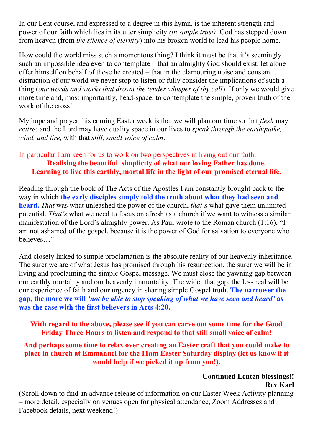In our Lent course, and expressed to a degree in this hymn, is the inherent strength and power of our faith which lies in its utter simplicity *(in simple trust)*. God has stepped down from heaven (from *the silence of eternity*) into his broken world to lead his people home.

How could the world miss such a momentous thing? I think it must be that it's seemingly such an impossible idea even to contemplate – that an almighty God should exist, let alone offer himself on behalf of those he created – that in the clamouring noise and constant distraction of our world we never stop to listen or fully consider the implications of such a thing (*our words and works that drown the tender whisper of thy call*). If only we would give more time and, most importantly, head-space, to contemplate the simple, proven truth of the work of the cross!

My hope and prayer this coming Easter week is that we will plan our time so that *flesh* may *retire;* and the Lord may have quality space in our lives to *speak through the earthquake, wind, and fire,* with that *still, small voice of calm*.

# In particular I am keen for us to work on two perspectives in living out our faith: **Realising the beautiful simplicity of what our loving Father has done. Learning to live this earthly, mortal life in the light of our promised eternal life.**

Reading through the book of The Acts of the Apostles I am constantly brought back to the way in which **the early disciples simply told the truth about what they had seen and heard.** *That* was what unleashed the power of the church, *that's* what gave them unlimited potential. *That's* what we need to focus on afresh as a church if we want to witness a similar manifestation of the Lord's almighty power. As Paul wrote to the Roman church (1:16), "I am not ashamed of the gospel, because it is the power of God for salvation to everyone who believes…"

And closely linked to simple proclamation is the absolute reality of our heavenly inheritance. The surer we are of what Jesus has promised through his resurrection, the surer we will be in living and proclaiming the simple Gospel message. We must close the yawning gap between our earthly mortality and our heavenly immortality. The wider that gap, the less real will be our experience of faith and our urgency in sharing simple Gospel truth. **The narrower the gap, the more we will** *'not be able to stop speaking of what we have seen and heard'* **as was the case with the first believers in Acts 4:20.**

# **With regard to the above, please see if you can carve out some time for the Good Friday Three Hours to listen and respond to that still small voice of calm!**

**And perhaps some time to relax over creating an Easter craft that you could make to place in church at Emmanuel for the 11am Easter Saturday display (let us know if it would help if we picked it up from you!).**

# **Continued Lenten blessings!! Rev Karl**

(Scroll down to find an advance release of information on our Easter Week Activity planning – more detail, especially on venues open for physical attendance, Zoom Addresses and Facebook details, next weekend!)